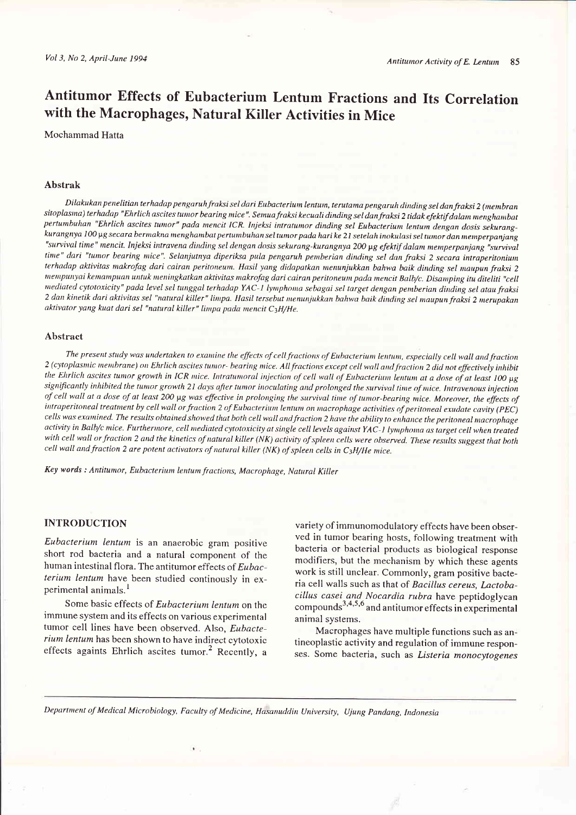# Antitumor Effects of Eubacterium Lentum Fractions and Its Correlation with the Macrophages, Natural Killer Activities in Mice

#### Mochammad Hatta

### Abstrak

Dilakukan penelitian terhadap pengaruh fraksi sel dari Eubacterium lentum, terutama pengaruh dinding sel dan fraksi 2 (membran sitoplasma) terhadap "Ehrlich ascites tumor bearing mice". Semua fraksi kecuali dinding sel dan fraksi 2 tidak efektif dalam menghambat pertumbuhan "Ehrlich ascites tumor" pada mencit ICR. Injeksi intratumor dinding sel Eubacterium lentum dengan dosis sekurangkurangnya 100 µg secara bermakna menghambat pertumbuhan sel tumor pada hari ke 21 setelah inokulasi sel tumor dan memperpanjang "survival time" mencit. Injeksi intravena dinding sel dengan dosis sekurang-kurangnya 200 µg efektif dalam memperpanjang "survival time" dari "tumor bearing mice". Selanjutnya diperiksa pula pengaruh pemberian dinding sel dan fraksi 2 secara intraperitonium terhadap aktivitas makrofag dari cairan peritonewn. Hasil yang didapatkan menunjukkan bahwa baik dinling sel naupun fraksi <sup>2</sup> mempunyai kemampuan untuk meningkatkan aktivitas makrofag dari cairan peritoneum pada mencit Balb/c. Disamping itu diteliti "cell mediated cytotoxicity" pada level sel tunggal terhadap YAC-1 lymphoma sebagai sel target dengan pemberian dinding sel atau fraksi 2 dan kinetik dari aktivitas sel "natural killer" limpa. Hasil tersebut menunjukkan bahwa baik dinding sel maupun fraksi 2 merupakan aktivator yang kuat dari sel "natural killer" limpa pada mencit C3H/He.

#### Abstract

The present study was undertaken to examine the effects of cell fractions of Eubacterium lentum, especially cell wall and fraction 2 (cytoplasmic membrane) on Ehrlich ascites tumor- bearing mice. All fractions except cell wall and fraction 2 did not effectively inhibit the Ehrlich ascites tumor growth in ICR mice. Intratumoral injection of cell wall of Eubacterium lentum at a dose of at least 100 µg significantly inhibited the tumor growth 21 days after tumor inoculating and prolonged the survival time of mice. Intravenous injection of cell wall at a dose of at least 200 µg was effective in prolonging the survival time of tumor-bearing mice. Moreover, the effects of intraperitoneal treatment by cell wall or fraction 2 of Eubacterium lentum on macrophage activities of peritoneal exudate cavity (PEC) cells was examined. The results obtained showed that both cell wall and fraction 2 have the ability to enhance the peritoneal macrophage activity in Balb/c mice. Furthermore, cell mediated cytotoxicity at single cell levels against YAC-1 lymphoma as target cell when treated with cell wall or fraction 2 and the kinetics of natural killer (NK) activity of spleen cells were observed. These results suggest that both cell wall and fraction 2 are potent activators of natural killer (NK) of spleen cells in  $C_3H/He$  mice.

Key words : Antitumor, Eubacterium lentum fractions, Macrophage, Natural Killer

# INTRODUCTION

Eubacterium lentum is an anaerobic gram positive short rod bacteria and a natural component of the human intestinal flora. The antitumor effects of Eubacterium lentum have been studied continously in experimental animals.<sup>1</sup>

Some basic effects of Eubacterium lentum on the immune system and its effects on various experimental tumor cell lines have been observed. Also, Eubacterium lentum has been shown to have indirect cytotoxic effects againts Ehrlich ascites tumor.<sup>2</sup> Recently, a variety of immunomodulatory effects have been observed in tumor bearing hosts, following treatment with bacteria or bacterial products as biological response modifiers, but the mechanism by which these agents work is still unclear. Commonly, gram positive bacteria cell walls such as that of Bacillus cereus, Lactobacillus casei and Nocardia rubra have peptidoglycan  $R_{\text{compounds}}^{3,4,5,6}$  and antitumor effects in experimental animal systems.

Macrophages have multiple functions such as antineoplastic activity and regulation of immune responses. Some bacteria, such as Listeria monocytogenes

Department of Medical Microbiology, Faculty of Medicine, Hasanuddin University, Ujung Pandang, Indonesia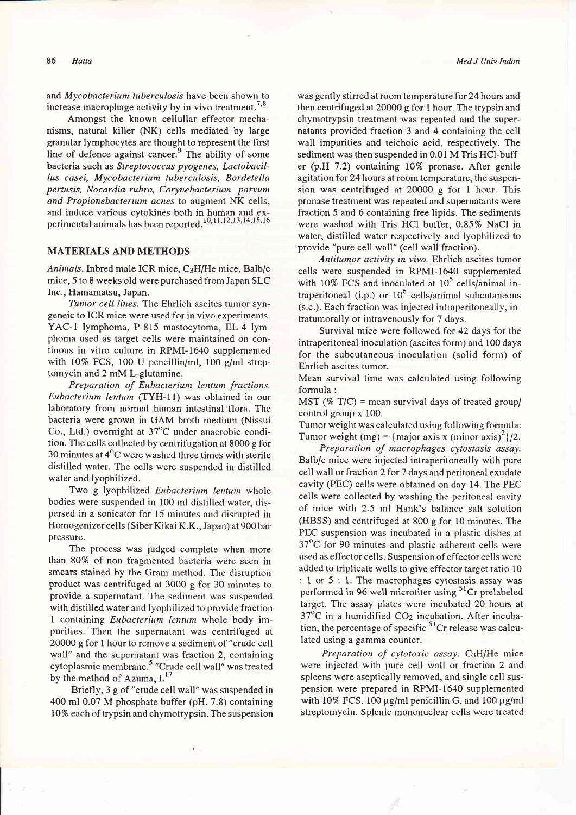#### 86 Hatta

and Mycobacterium tuberculosis have been shown to increase macrophage activity by in vivo treatment.<sup>7,8</sup>

Amongst the known cellullar effector mechanisms, natural killer (NK) cells mediated by large granular lymphocytes are thought to represent the first line of defence against cancer. $9$  The ability of some bacteria such as Streptococcus pyogenes, Lactobacil-Ius casei, Mycobacterium tuberculosis, Bordetella pertusis, Nocardia rubra, Corynebacterium parvum and Propionebacterium acnes to augment NK cells, and induce various cytokines both in human and experimental animals has been reported.<sup>10,11,12,13,14,15,16</sup>

# MATERIALS AND METHODS

Animals.Inbred male ICR mice, C3H/He mice, Balb/c mice,5 to 8 weeks old were purchased from Japan SLC Inc., Hamamatsu, Japan,

Tumor cell lines. The Ehrlich ascites tumor syngeneic to ICR mice were used for in vivo experiments. YAC-1 lymphoma, P-815 mastocytoma, EL-4 lymphoma used as target cells were maintained on continous in vitro culture in RPMI-1640 supplemented with  $10\%$  FCS, 100 U pencillin/ml, 100 g/ml streptomycin and 2 mM L-glutamine.

Preparation of Eubacterium lentum fractions. Eubacterium lentum (TYH-I1) was obtained in our laboratory from normal human intestinal flora. The bacteria were grown in GAM broth medium (Nissui Co., Ltd.) overnight at  $37^{\circ}$ C under anaerobic condition. The cells collected by centrifugation at 8000 g for 30 minutes at  $4^{\circ}$ C were washed three times with sterile distilled water. The cells were suspended in distilled water and lyophilized.

Two g lyophilized Eubacterium lentum whole bodies were suspended in 100 ml distilled water, dispersed in a sonicator for 15 minutes and disrupted in Homogenizer cells (Siber Kikai K.K., Japan) at 900 bar pressure.

The process was judged complete when more than 80% of non fragmented bacteria were seen in smears stained by the Gram method. The disruption product was centrifuged at 3000 g for 30 minutes to provide a supernatant. The sediment was suspended with distilled water and lyophilized to provide fraction I containing Eubacterium lentum whole body impurities, Then the supernatant was centrifuged at 20000 g for I hour to remove a sediment of "crude cell wall" and the supernatant was fraction 2, containing cytoplasmic membrane.<sup>5</sup> "Crude cell wall" was treated by the method of Azuma,  $I^{17}$ 

Briefly, 3 g of "crude cell wall" was suspended in 400 ml 0.07 M phosphate buffer (pH. 7.8) containing lO% eachof trypsin and chymotrypsin. The suspension was gently stirred at room temperature for 24 hours and then centrifuged at 20000 g for I hour. The trypsin and chymotrypsin treatment was repeated and the supernatants provided fraction 3 and 4 containing the cell wall impurities and teichoic acid, respectively. The sediment was then suspended in 0.01 M Tris HCI-buffer (p,H 7.2) containing lO% pronase. After gentle agitation for 24 hours at room temperature, the suspension was centrifuged at 20000 g for 1 hour. This pronase treatment was repeated and supernatants were fraction 5 and 6 containing free lipids. The sediments were washed with Tris HCI buffer, O.85% NaCl in water, distilled water respectively and lyophilized to provide "pure cell wall" (cell wall fraction).

Antitumor activity in vivo. Ehrlich ascites tumor cells were suspended in RPMI-1640 supplemented with 10% FCS and inoculated at  $10^5$  cells/animal intraperitoneal (i.p.) or  $10^6$  cells/animal subcutaneous (s.c.). Each fraction was injected intraperitoneally, intratumorally or intravenously for 7 days.

Survival mice were followed for 42 days for the intraperitoneal inoculation (ascites form) and 100 days for the subcutaneous inoculation (solid form) of Ehrlich ascites tumor.

Mean survival time was calculated using following formula :

MST ( $% T/C$ ) = mean survival days of treated group/ control group x 100.

Tumor weight was calculated using following formula: Tumor weight (mg) = {major axis x (minor axis)<sup>2</sup>}/2.

Preparation of macrophages cytostasis assay. Balb/c mice were injected intraperitoneally with pure cell wall or fraction 2 for 7 days and peritoneal exudate cavity (PEC) cells were obtained on day 14. The PEC cells were collected by washing the peritoneal cavity of mice with 2.5 ml Hank's balance salt solution (HBSS) and centrifuged at 800 g for l0 minutes. The PEC suspension was incubated in a plastic dishes at 37"C for 90 minutes and plastic adherent cells were used as effector cells. Suspension of effector cells were added to triplicate wells to give effector target ratio 10 : I or 5 : l. The macrophages cytostasis assay was performed in 96 well microtiter using  $5^{1}$ Cr prelabeled target. The assay plates were incubated 20 hours at  $37^{\circ}$ C in a humidified CO<sub>2</sub> incubation. After incubation, the percentage of specific  $5<sup>1</sup>Cr$  release was calculated using a gamma counter.

Preparation of cytotoxic assay.  $C_3H/He$  mice were injected with pure cell wall or fraction 2 and spleens were aseptically removed, and single cell suspension were prepared in RPMI-1640 supplemented with  $10\%$  FCS. 100  $\mu$ g/ml penicillin G, and 100  $\mu$ g/ml streptomycin. Splenic mononuclear cells were treated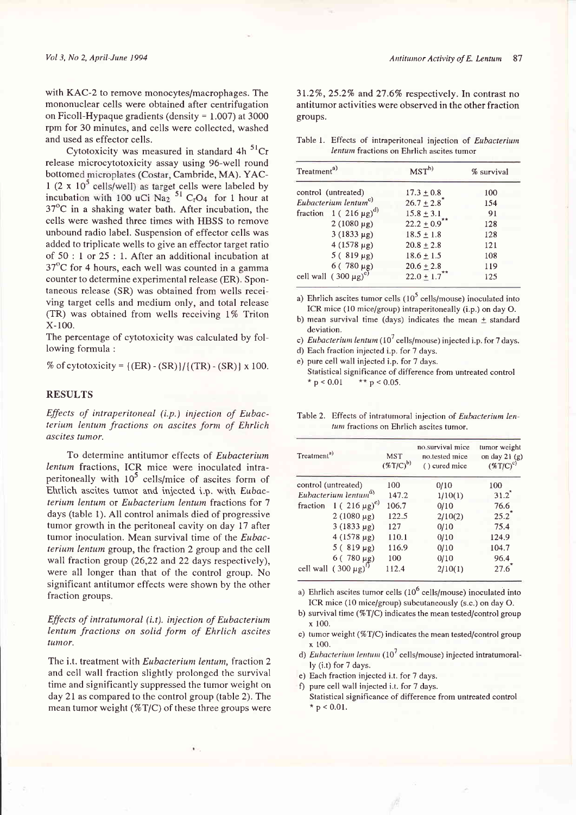with KAC-2 to remove monocytes/macrophages. The mononuclear cells were obtained after centrifugation on Ficoll-Hypaque gradients (density  $= 1.007$ ) at 3000 rpm for 30 minutes, and cells were collected, washed and used as effector cells.

Cytotoxicity was measured in standard 4h  $51$ Cr release microcytotoxicity assay using 96-well round bottomed microplates (Costar, Cambride, MA). YAC-1 (2 x  $10^5$  cells/well) as target cells were labeled by incubation with 100 uCi Na<sub>2</sub>  $51$  C<sub>r</sub>O<sub>4</sub> for 1 hour at  $37^{\circ}$ C in a shaking water bath. After incubation, the cells were washed three times with HBSS to remove unbound radio label. Suspension of effector cells was added to triplicate wells to give an effector target ratio of 50 : I or 25: 1. After an additional incubation at  $37^{\circ}$ C for 4 hours, each well was counted in a gamma counter to determine experimental release (ER). Spontaneous release (SR) was obtained from wells receiving target cells and medium only, and total release  $(TR)$  was obtained from wells receiving 1% Triton x-100.

The percentage of cytotoxicity was calculated by following formula :

% of cytotoxicity =  $({\rm ER}) - ({\rm SR})$ ]/ $({\rm TR}) - ({\rm SR})$ ] x 100.

## RESULTS

Effects of intraperitoneal (i.p.) injection of Eubacterium lentum fractions on ascites form of Ehrlich ascites tumor.

To determine antitumor effects of Eubacterium lentum fractions, ICR mice were inoculated intraperitoneally with  $10^5$  cells/mice of ascites form of Ehtlich ascites tumor and injected i.p. with Eubacterium lentum or Eubacterium lentum fractions for <sup>7</sup> days (table 1). All control animals died of progressive tumor growth in the peritoneal cavity on day 17 after tumor inoculation. Mean survival time of the Eubacterium lentum group, the fraction 2 group and the cell wall fraction group (26,22 and 22 days respectively), were all longer than that of the control group. No significant antitumor effects were shown by the other fraction groups.

## Effects of intratumoral (i.t). injection of Eubacterium Ientum fractions on solid form of Ehrlich ascites tumor.

The i.t. treatment with Eubacterium lentum, fraction 2 and cell wall fraction slightly prolonged the survival time and significantly suppressed the tumor weight on day 2l as compared to the control group (table 2). The mean tumor weight ( $\%T/C$ ) of these three groups were 31.2%,25.2% and 27.67o respectively. In contrast no antitumor activities were observed in the other fraction groups.

Table l. Effects of intraperitoneal injection of Eubacterium lentum fractions on Ehrlich ascites tumor

| Treatment <sup>a)</sup>                       | $MST^{b}$                    | % survival |  |
|-----------------------------------------------|------------------------------|------------|--|
| control (untreated)                           | $17.3 \pm 0.8$               | 100        |  |
| Eubacterium lentum <sup>c)</sup>              | $26.7 \pm 2.8$               | 154        |  |
| fraction $1(216 \mu g)^{d}$                   | $15.8 \pm 3.1$               | 91         |  |
| $2(1080 \mu g)$                               | $22.2 \pm 0.9$ <sup>**</sup> | 128        |  |
| $3(1833 \mu g)$                               | $18.5 \pm 1.8$               | 128        |  |
| $4(1578 \text{ µg})$                          | $20.8 + 2.8$                 | 121        |  |
| $5(819 \mu g)$                                | $18.6 \pm 1.5$               | 108        |  |
|                                               | $20.6 \pm 2.8$               | 119        |  |
| $6(780 \mu g)$<br>cell wall $(300 \mu g)^{e}$ | $22.0 \pm 1.7$               | 125        |  |

a) Ehrlich ascites tumor cells  $(10^5 \text{ cells/mouse})$  inoculated into ICR mice (10 mice/group) intraperitoneally (i.p.) on day O.

b) mean survival time (days) indicates the mean  $\pm$  standard deviation.

c) Eubacterium lentum  $(10^7 \text{ cells/mouse})$  injected i.p. for 7 days.

d) Each fraction injected i.p. for 7 days.

e) pure cell wall injected i.p. for 7 days.

Statistical significance of difference from untreated control<br>\*  $p < 0.01$  \*\* p < 0.05.

Table 2. Effects of intratumoral injection of Eubacterium lentum fractions on Ehrlich ascites tumor.

| Treatment <sup>a)</sup>                        | <b>MST</b><br>$(\%T/C)^{b)}$ | no.survival mice<br>no.tested mice<br>() cured mice | tumor weight<br>on day $21(g)$<br>$(\%T/C)^c$ |
|------------------------------------------------|------------------------------|-----------------------------------------------------|-----------------------------------------------|
| control (untreated)                            | 100                          | 0/10                                                | 100                                           |
| Eubacterium lentum <sup>d)</sup>               | 147.2                        | 1/10(1)                                             | $31.2$ <sup>*</sup>                           |
| fraction $1 (216 \mu g)^e$                     | 106.7                        | 0/10                                                | 76.6                                          |
| $2(1080 \mu g)$                                | 122.5                        | 2/10(2)                                             | $25.2$ <sup>*</sup>                           |
| $3(1833 \mu g)$                                | 127                          | 0/10                                                | 75.4                                          |
| $4(1578 \text{ µg})$                           | 110.1                        | 0/10                                                | 124.9                                         |
| $5(819 \mu g)$                                 | 116.9                        | 0/10                                                | 104.7                                         |
|                                                | 100                          | 0/10                                                | 96.4                                          |
| 6 (780 μg)<br>cell wall (300 μg) <sup>1)</sup> | 112.4                        | 2/10(1)                                             | 27.6                                          |

a) Ehrlich ascites tumor cells  $(10^6 \text{ cells/mouse})$  inoculated into ICR mice (10 mice/group) subcutaneously (s.c.) on day O.

b) survival time ( $\%$ T/C) indicates the mean tested/control group x 100.

c) tumor weight  $(\%T/C)$  indicates the mean tested/control group  $x$  100.

d) Eubacterium lentum (10<sup>7</sup> cells/mouse) injected intratumorally (i.t) for 7 days.

e) Each fraction injected i.t. for 7 days.

f) pure cell wall injected i.t. for 7 days.

Statistical significance of difference from untreated control  $*$  p < 0.01.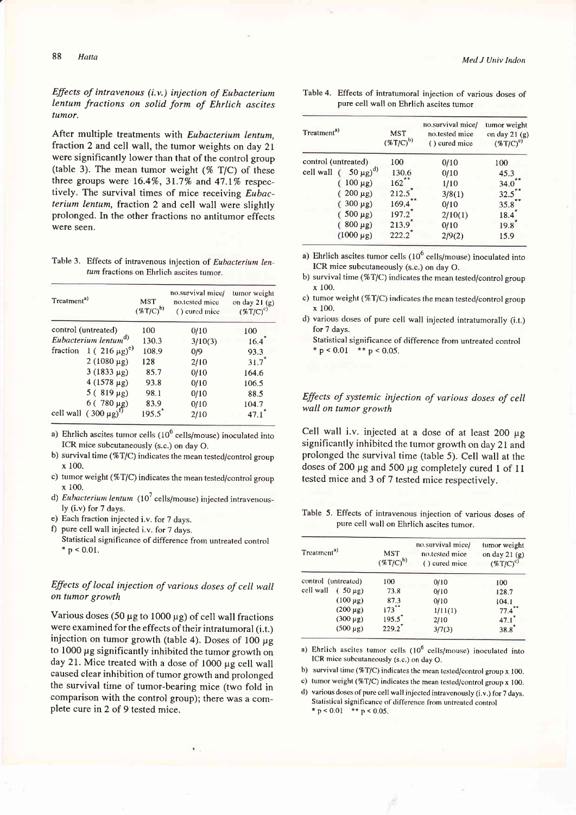## Effects of intravenous  $(i.v.)$  injection of Eubacterium lentum fractions on solid form of Ehrlich ascites tumor.

After multiple treatments with Eubacterium lentum, fraction 2 and cell wall, the tumor weights on day 21 were significantly lower than that of the control group (table 3). The mean tumor weight  $(\% T/C)$  of these three groups were  $16.4\%$ ,  $31.7\%$  and  $47.1\%$  respectively. The survival times of mice receiving *Eubac*terium lentum, fraction 2 and cell wall were slightly prolonged. In the other fractions no antitumor effects were seen.

Table 3. Effects of intravenous injection of Eubacterium lentum fractions on Ehrlich ascites tumor.

| Treatment <sup>a)</sup> |                                               | <b>MST</b><br>$(*T/C)^{b)}$ | no.survival mice/<br>no.tested mice<br>() cured mice | tumor weight<br>on day $21(g)$<br>$(\%T/C)^c$ |
|-------------------------|-----------------------------------------------|-----------------------------|------------------------------------------------------|-----------------------------------------------|
|                         | control (untreated)                           | 100                         | 0/10                                                 | 100                                           |
|                         | Eubacterium lentum <sup>d)</sup>              | 130.3                       | 3/10(3)                                              | 16.4                                          |
|                         | fraction $1(216 \mu g)^e$                     | 108.9                       | 0/9                                                  | 93.3                                          |
|                         | $2(1080 \mu g)$                               | 128                         | 2/10                                                 | $31.7*$                                       |
|                         | $3(1833 \mu g)$                               | 85.7                        | 0/10                                                 | 164.6                                         |
|                         | $4(1578 \text{ µg})$                          | 93.8                        | 0/10                                                 | 106.5                                         |
|                         | $5(819 \mu g)$                                | 98.1                        | 0/10                                                 | 88.5                                          |
|                         |                                               | 83.9                        | 0/10                                                 | 104.7                                         |
|                         | $6(780 \mu g)$<br>cell wall $(300 \mu g)^{1}$ | $195.5^{\circ}$             | 2/10                                                 | 47.1                                          |

a) Ehrlich ascites tumor cells  $(10^6 \text{ cells/mouse})$  inoculated into ICR mice subcutaneously (s.c.) on day O.

- b) survival time (% $T/C$ ) indicates the mean tested/control group x 100.
- c) tumor weight (%T/C) indicates the mean tested/control group  $x$  100.
- d) *Eubacterium lentum*  $(10^7 \text{ cells/mouse})$  injected intravenously (i.v) for 7 days.
- e) Each fraction injected i.v. for 7 days.
- f) pure cell wall injected i.v. for 7 days.
	- Statistical significance of difference from untreated control \*  $p < 0.01$ .

# Effects of local injection of various doses of cell wall on tumor growth

Various doses (50  $\mu$ g to 1000  $\mu$ g) of cell wall fractions were examined for the effects of their intratumoral (i.t.) injection on tumor growth (table 4). Doses of 100  $\mu$ g to 1000 µg significantly inhibited the tumor growth on day 21. Mice treated with a dose of  $1000 \mu g$  cell wall caused clear inhibition of tumor growth and prolonged the survival time of tumor-bearing mice (two fold in comparison with the control group); there was a complete cure in 2 of 9 tested mice.

Table 4. Effects of intratumoral injection of various doses of pure cell wall on Ehrlich ascites tumor

| Treatment <sup>a)</sup>       | <b>MST</b><br>$(*T/C)^{b)}$              | no.survival mice/<br>no.tested mice<br>() cured mice | tumor weight<br>on day $21(g)$<br>$(\%T/C)^c$ |
|-------------------------------|------------------------------------------|------------------------------------------------------|-----------------------------------------------|
| control (untreated)           | 100                                      | 0/10                                                 | 100                                           |
| $(50 \mu g)^{d}$<br>cell wall | 130.6                                    | 0/10                                                 | 45.3                                          |
| $100 \mu g$ )                 | $162***$                                 | 1/10                                                 | 34.0                                          |
| $200 \mu g$ )                 | 212.5                                    | 3/8(1)                                               | $32.5$ **                                     |
| $300 \mu g$ )                 | 169.4                                    | 0/10                                                 | 35.8                                          |
| $500 \mu g$ )                 | $197.2$ <sup>*</sup>                     | 2/10(1)                                              | 18.4                                          |
| $800 \mu g$ )                 | $213.9$ <sup><math>^{\circ}</math></sup> | 0/10                                                 | 19.8                                          |
| $(1000 \,\mu g)$              | $222.2$ <sup>*</sup>                     | 2/9(2)                                               | 15.9                                          |

a) Ehrlich ascites tumor cells  $(10^6 \text{ cells/mouse})$  inoculated into ICR mice subcutaneously (s.c.) on day O.

b) survival time  $(\%T/C)$  indicates the mean tested/control group x 100.

- c) tumor weight (%T/C) indicates the mean tested/control group  $x 100$
- d) various doses of pure cell wall injected intratumorally (i.t.) for 7 days.
	- Statistical significance of difference from untreated control \*  $p < 0.01$  \*\*  $p < 0.05$ .

## Effects of systemic injection of various doses of cell wall on tumor growth

Cell wall i.v. injected at a dose of at least  $200 \mu g$ significantly inhibited the tumor growth on day 21 and prolonged the survival time (table 5). Cell wall at the doses of 200 µg and 500 µg completely cured 1 of 11 tested mice and 3 of 7 tested mice respectively.

Table 5. Effects of intravenous injection of various doses of pure cell wall on Ehrlich ascites tumor.

| Treatment <sup>a)</sup>   | <b>MST</b><br>$(*T/C)^{b}$ | no.survival mice/<br>no.tested mice<br>() cured mice | tumor weight<br>on day $21(g)$<br>$(\%T/C)^c$ |
|---------------------------|----------------------------|------------------------------------------------------|-----------------------------------------------|
| control (untreated)       | 100                        | 0/10                                                 | 100                                           |
| cell wall<br>$(50 \mu g)$ | 73.8                       | 0/10                                                 | 128.7                                         |
| $(100 \mu g)$             | 87.3                       | 0/10                                                 | 104.1                                         |
| $(200 \mu g)$             | $173$ <sup>**</sup>        | 1/11(1)                                              | 77.4                                          |
| $(300 \mu g)$             | $195.5^*$                  | 2/10                                                 | $47.1$ <sup>*</sup>                           |
| $(500 \,\mu g)$           | $229.2$ <sup>*</sup>       | 3/7(3)                                               | $38.8^{\circ}$                                |

a) Ehrlich ascites tumor cells (10<sup>6</sup> cells/mouse) inoculated into ICR mice subcutaneously (s.c.) on day O.

b) survival time ( $\%$ T/C) indicates the mean tested/control group x 100.

c) turnor weight (%T/C) indicates the mean tested/control group x 100.

d) various doses of pure cell wall injected intravenously (i.v.) for 7 days. Statistical significance of difference from untreated control \*  $p < 0.01$  \*\*  $p < 0.05$ .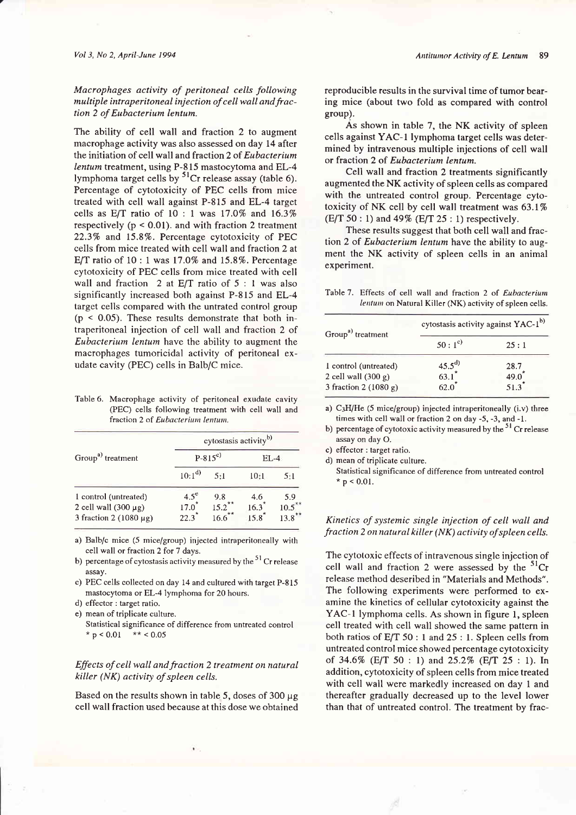The ability of cell wall and fraction 2 to augment macrophage activity was also assessed on day 14 after the initiation of cell wall and fraction 2 of Eubacterium lentum treatment, using P-815 mastocytoma and EL-4 lymphoma target cells by  ${}^{51}Cr$  release assay (table 6). Percentage of cytotoxicity of PEC cells from mice treated with cell wall against P-815 and EL-4 target cells as  $E/T$  ratio of 10 : 1 was 17.0% and 16.3% respectively ( $p < 0.01$ ). and with fraction 2 treatment 22.3% and 15.8%. Percentage cytotoxicity of PEC cells from mice treated with cell wall and fraction 2 at E/T ratio of  $10:1$  was  $17.0\%$  and  $15.8\%$ . Percentage cytotoxicity of PEC cells from mice treated with cell wall and fraction 2 at  $E/T$  ratio of 5 : 1 was also significantly increased both against P-815 and EL-4 target cells compared with the untrated control group  $(p < 0.05)$ . These results demonstrate that both intraperitoneal injection of cell wall and fraction 2 of Eubacterium lentum have the ability to augment the macrophages tumoricidal activity of peritoneal exudate cavity (PEC) cells in Balb/C mice.

Table 6. Macrophage activity of peritoneal exudate cavity (PEC) cells following treatment with cell wall and fraction 2 of Eubacterium lentum.

| Group <sup>a)</sup> treatment                                                     |                                             | cytostasis activity <sup>b)</sup> |                               |                     |  |
|-----------------------------------------------------------------------------------|---------------------------------------------|-----------------------------------|-------------------------------|---------------------|--|
|                                                                                   |                                             | $P-815^{c}$                       |                               | EL-4.               |  |
|                                                                                   | $10:1^{d}$                                  | 5:1                               | 10:1                          | 5:1                 |  |
| 1 control (untreated)<br>2 cell wall $(300 \mu g)$<br>3 fraction 2 (1080 $\mu$ g) | $4.5^\circ$<br>$17.0^{*}$<br>$22.3^{\circ}$ | 9.8<br>$15.2$ **<br>$***$<br>16.6 | 4.6<br>16.3<br>$15.8^{\circ}$ | 5.9<br>10.5<br>13.8 |  |

a) Balb/c mice (5 mice/group) injected intraperitoneally with cell wall or fraction 2 for 7 days.

b) percentage of cytostasis activity measured by the  $51$  Cr release assay.

c) PEC cells collected on day 14 and cultured with target P-815 mastocytoma or EL-4 lymphoma for 20 hours.

- d) effector : target ratio.
- e) mean of triplicate culture.
	- Statistical significance of difference from untreated control \*  $p < 0.01$  \*\* < 0.05

# Effects of cell wall and fraction 2 treatment on natural killer (NK) activity of spleen cells.

Based on the results shown in table 5, doses of  $300 \mu$ g cell wall fraction used because at this dose we obtained reproducible results in the survival time of tumor bearing mice (about two fold as compared with control group).

As shown in table 7, the NK activity of spleen cells against YAC-l lymphoma target cells was determined by intravenous multiple injections of cell wall or fraction 2 of Eubacterium lentum.

Cell wall and fraction 2 treatments significantly augmented the NK activity of spleen cells as compared with the untreated control group. Percentage cytotoxicity of NK cell by cell wall treatment was 63.I%  $(E/T 50:1)$  and 49%  $(E/T 25:1)$  respectively.

These results suggest that both cell wall and fraction 2 of Eubacterium lentum have the ability to augment the NK activity of spleen cells in an animal experiment.

Table 7. Effects of cell wall and fraction 2 of Eubacterium lentwn on Natural Killer (NK) activity of spleen cells.

| cytostasis activity against YAC-1 <sup>b)</sup> |                                 |  |
|-------------------------------------------------|---------------------------------|--|
| $50:1^{c}$                                      | 25:1                            |  |
|                                                 | 28.7                            |  |
|                                                 | 49.0                            |  |
|                                                 | 51.3                            |  |
|                                                 | $\frac{45.5^{d}}{63.1}$<br>62.0 |  |

a)  $C_3H/He$  (5 mice/group) injected intraperitoneally (i.v) three times with cell wall or fraction 2 on day -5, -3, and -1.

b) percentage of cytotoxic activity measured by the  $51$  Cr release assay on day O.

c) effector : target ratio.

d) mean of triplicate culture.

Statistical significance of difference ftom untreated control  $*$  p < 0.01.

### Kinetics of systemic single injection of cell wall and fraction 2 on natural killer (NK) activity of spleen cells.

The cytotoxic effects of intravenous single injection of cell wall and fraction 2 were assessed by the  ${}^{51}Cr$ release method deseribed in "Materials and Methods". The following experiments were performed to examine the kinetics of cellular cytotoxicity against the YAC-1 lymphoma cells. As shown in figure 1, spleen cell treated with cell wall showed the same pattern in both ratios of E/T 50 : I and 25 : I. Spleen cells from untreated control mice showed percentage cytotoxicity of 34.6% (E/T 50 : 1) and 25.2% (E/T 25 : 1). In addition, cytotoxicity of spleen cells from mice treated with cell wall were markedly increased on day I and thereafter gradually decreased up to the level lower than that of untreated control. The treatment by frac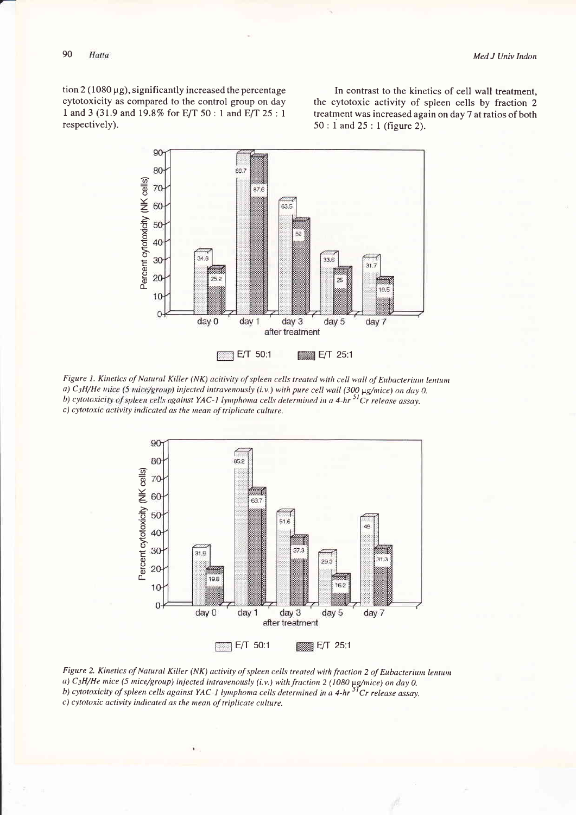$\frac{1}{2}$  (1080 µg), significantly increased the percentage cytotoxicity as compared to the control group on day 1 and 3 (31.9 and 19.8% for E/T 50 : 1 and E/T 25 : 1 respectively).

In contrast to the kinetics of cell wall treatment, the cytotoxic activity of spleen cells by fraction 2 treatment was increased again on day 7 at ratios of both  $50:1$  and  $25:1$  (figure 2).



Figure 1. Kinetics of Natural Killer (NK) acitivity of spleen cells treated with cell wall of Eubacterium lentum a) C<sub>3</sub>H/He mice (5 mice/group) injected intravenously (i.v.) with pure cell wall (300 µg/mice) on day 0. b) cytotoxicity of spleen cells against YAC-1 lymphoma cells determined in a 4-hr <sup>51</sup>Cr release assay. c) cytotoxic activity indicated as the mean of triplicate culture.



Figure 2. Kinetics of Natural Killer (NK) activity of spleen cells treated with fraction 2 of Eubacterium lentum a) C<sub>3</sub>H/He mice (5 mice/group) injected intravenously (i.v.) with fraction 2 (1080  $\mu$ g/mice) on day 0.<br>b) cytotoxicity of spleen cells against YAC-1 lymphoma cells determined in a 4-hr <sup>51</sup>Cr release assay. c) cytotoxic activity indicated as the mean of triplicate culture.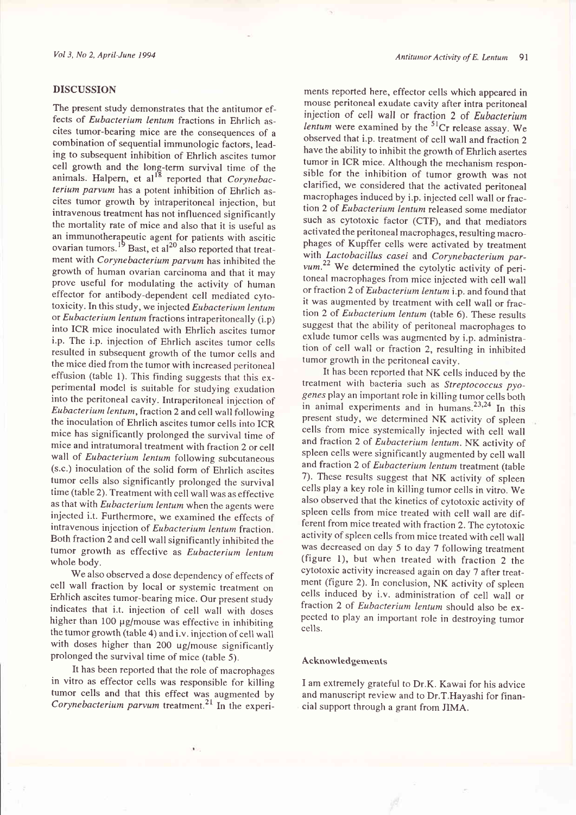#### DISCUSSION

The present study demonstrates that the antitumor effects of Eubacterium lentum fractions in Ehrlich ascites tumor-bearing mice are the consequences of <sup>a</sup> combination of sequential immunologic factors, leading to subsequent inhibition of Ehrlich ascites tumor cell growth and the long-term survival time of the animals. Halpern, et al.<sup>18</sup> reported that  $Corynebac$ terium parvum has a potent inhibition of Ehrlich ascites tumor growth by intraperitoneal injection, but intravenous treatment has not influenced significantly the mortality rate of mice and also that it is useful as an immunotherapeutic agent for patients with ascitic ovarian tumors.<sup>19</sup> Bast, et al<sup>20</sup> also reported that treatment with Corynebacterium parvum has inhibited the growth of human ovarian carcinoma and that it may prove useful for modulating the activity of human effector for antibody-dependent cell mediated cytotoxicity. In this study, we injected Eubacterium lentum or Eubacterium lentum fractions intraperitoneally (i.p) into ICR mice inoculated with Ehrlich ascites tumor i.p. The i.p. injection of Ehrlich ascites tumor cells resulted in subsequent growth of the tumor cells and the mice died from the tumor with increased peritoneal effusion (table 1). This finding suggests that this experimental model is suitable for studying exudation into the peritoneal cavity. Intraperitoneal injection of Eubacterium lentum, fraction 2 and cell wall following the inoculation of Ehrlich ascites tumor cells into ICR mice has significantly prolonged the survival time of mice and intratumoral treatment with fraction 2 or cell wall of Eubacterium lentum following subcutaneous (s,c.) inoculation of the solid form of Ehrlich ascites tumor cells also significantly prolonged the survival time (table 2). Treatment with cell wall was as effective as that with Eubacterium lentum when the agents were injected i.t. Furthermore, we examined the effects of intravenous injection of Eubacterium lentum fraction. Both fraction 2 and cell wall significantly inhibited the tumor growth as effective as Eubacterium lentum whole body.

We also observed a dose dependency of effects of cell wall fraction by local or systemic treatment on Erhlich ascites tumor-bearing mice. Our present study indicates that i.t. injection of cell wall with doses higher than 100  $\mu$ g/mouse was effective in inhibiting the tumor growth (table 4) and i.v. injection of cell wall with doses higher than 200 ug/mouse significantly prolonged the survival time of mice (table 5).

It has been reported that the role of macrophages in vitro as effector cells was responsible for killing tumor cells and that this effect was augmented by Corynebacterium parvum treatment.<sup>21</sup> In the experi-

ments reported here, effector cells which appeared in mouse peritoneal exudate cavity after intra peritoneal injection of cell wall or fraction 2 of Eubacterium lentum were examined by the  ${}^{51}Cr$  release assay. We observed that i.p. treatment of cell wall and fraction 2 have the ability to inhibit the growth of Ehrlich asertes tumor in ICR mice. Although the mechanism responsible for the inhibition of tumor growth was not clarified, we considered that the activated peritoneal macrophages induced by i.p. injected cell wall or fraction 2 of Eubacterium lentum released some mediator such as cytotoxic factor (CTF), and that mediators activated the peritoneal macrophages, resulting macrophages of Kupffer cells were activated by treatment with Lactobacillus casei and Corynebacterium par $vum.<sup>22</sup>$  We determined the cytolytic activity of peritoneal macrophages from mice injected with cell wall or fraction 2 of Eubacterium lentum i.p. and found that it was augmented by treatment with cell wall or fraction 2 of Eubacterium lentum (table 6). These results suggest that the ability of peritoneal macrophages to exlude tumor cells was augmented by i.p. administration of cell wall or fraction 2, resulting in inhibited tumor growth in the peritoneal cavity.

It has been reported that NK cells induced by the treatment with bacteria such as Streptococcus pyogenes play an important role in killing tumor cells both in animal experiments and in humans.<sup>23,24</sup> In this present study, we determined NK activity of spleen cells from mice systemically injected with cell wall and fraction 2 of Eubacterium lentum. NK activity of spleen cells were significantly augmented by cell wall and fraction 2 of Eubacterium lentum treatment (table 7). These results suggest that NK activity of spleen cells play a key role in killing tumor cells in vitro. We also observed that the kinetics of cytotoxic activity of spleen cells from mice treated with cell wall are different from mice treated with fraction 2.The cytotoxic activity of spleen cells from mice treated with cell wall was decreased on day 5 to day 7 following treatment (figure l), but when treated with fraction 2 the cytotoxic activity increased again on day 7 after treatment (figure 2). In conclusion, NK activity of spleen cells induced by i.v. administration of cell wall or fraction 2 of Eubacterium lentum should also be expected to play an important role in destroying tumor cells.

#### Acknowledgements

I am extremely grateful to Dr.K. Kawai for his advice and manuscript review and to Dr.T.Hayashi for financial support through a grant from JIMA.